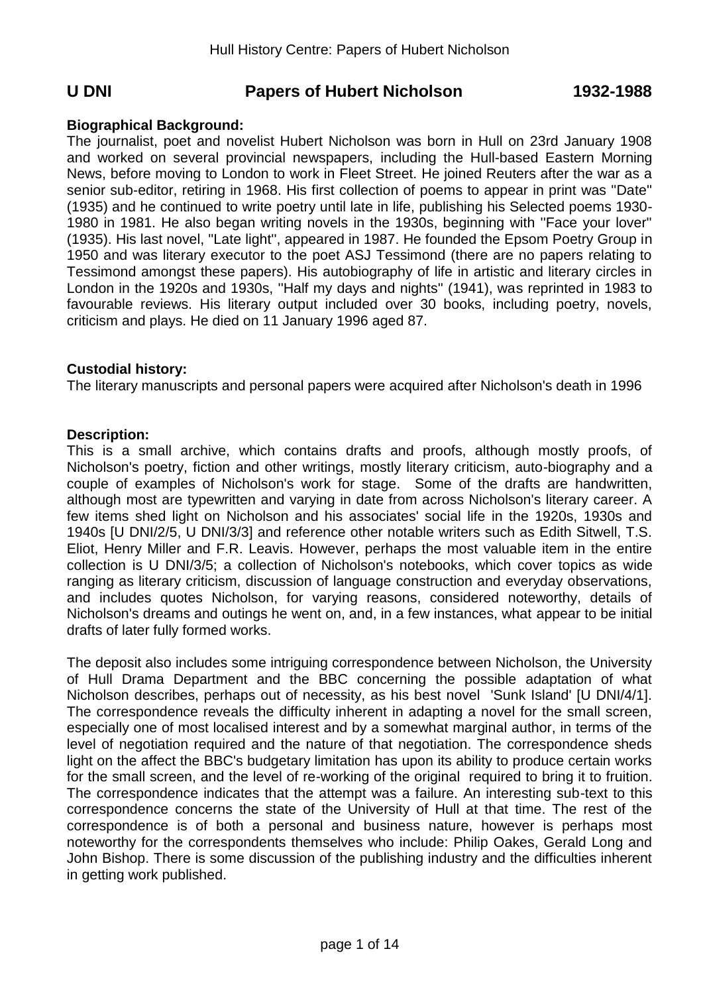# **U DNI Papers of Hubert Nicholson 1932-1988**

# **Biographical Background:**

The journalist, poet and novelist Hubert Nicholson was born in Hull on 23rd January 1908 and worked on several provincial newspapers, including the Hull-based Eastern Morning News, before moving to London to work in Fleet Street. He joined Reuters after the war as a senior sub-editor, retiring in 1968. His first collection of poems to appear in print was ''Date'' (1935) and he continued to write poetry until late in life, publishing his Selected poems 1930- 1980 in 1981. He also began writing novels in the 1930s, beginning with ''Face your lover'' (1935). His last novel, ''Late light'', appeared in 1987. He founded the Epsom Poetry Group in 1950 and was literary executor to the poet ASJ Tessimond (there are no papers relating to Tessimond amongst these papers). His autobiography of life in artistic and literary circles in London in the 1920s and 1930s, ''Half my days and nights'' (1941), was reprinted in 1983 to favourable reviews. His literary output included over 30 books, including poetry, novels, criticism and plays. He died on 11 January 1996 aged 87.

## **Custodial history:**

The literary manuscripts and personal papers were acquired after Nicholson's death in 1996

## **Description:**

This is a small archive, which contains drafts and proofs, although mostly proofs, of Nicholson's poetry, fiction and other writings, mostly literary criticism, auto-biography and a couple of examples of Nicholson's work for stage. Some of the drafts are handwritten, although most are typewritten and varying in date from across Nicholson's literary career. A few items shed light on Nicholson and his associates' social life in the 1920s, 1930s and 1940s [U DNI/2/5, U DNI/3/3] and reference other notable writers such as Edith Sitwell, T.S. Eliot, Henry Miller and F.R. Leavis. However, perhaps the most valuable item in the entire collection is U DNI/3/5; a collection of Nicholson's notebooks, which cover topics as wide ranging as literary criticism, discussion of language construction and everyday observations, and includes quotes Nicholson, for varying reasons, considered noteworthy, details of Nicholson's dreams and outings he went on, and, in a few instances, what appear to be initial drafts of later fully formed works.

The deposit also includes some intriguing correspondence between Nicholson, the University of Hull Drama Department and the BBC concerning the possible adaptation of what Nicholson describes, perhaps out of necessity, as his best novel 'Sunk Island' [U DNI/4/1]. The correspondence reveals the difficulty inherent in adapting a novel for the small screen, especially one of most localised interest and by a somewhat marginal author, in terms of the level of negotiation required and the nature of that negotiation. The correspondence sheds light on the affect the BBC's budgetary limitation has upon its ability to produce certain works for the small screen, and the level of re-working of the original required to bring it to fruition. The correspondence indicates that the attempt was a failure. An interesting sub-text to this correspondence concerns the state of the University of Hull at that time. The rest of the correspondence is of both a personal and business nature, however is perhaps most noteworthy for the correspondents themselves who include: Philip Oakes, Gerald Long and John Bishop. There is some discussion of the publishing industry and the difficulties inherent in getting work published.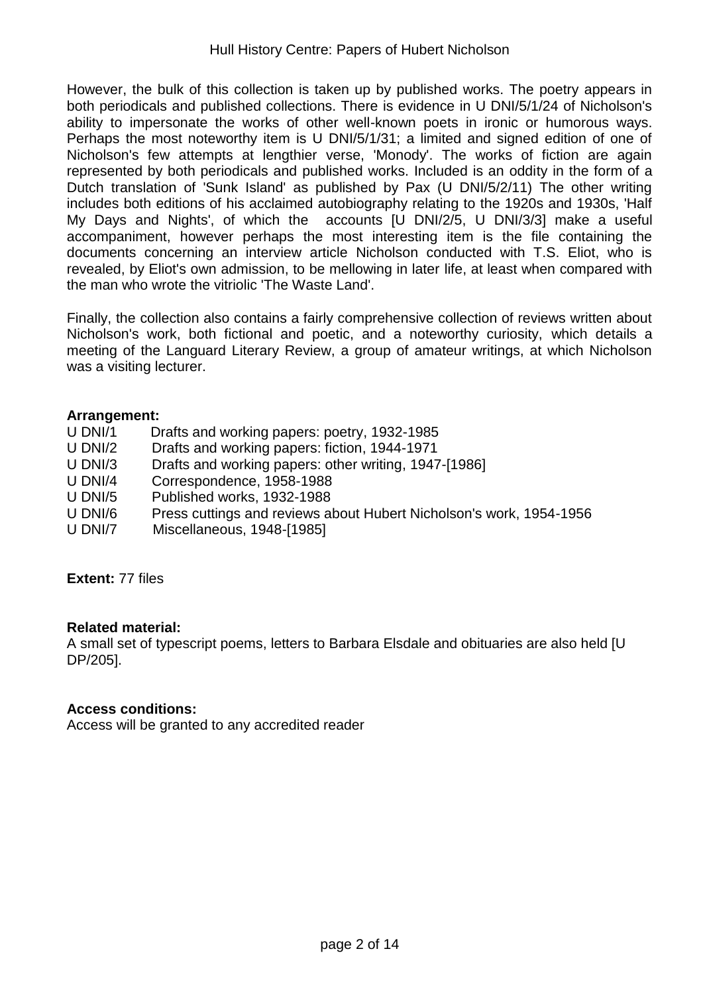However, the bulk of this collection is taken up by published works. The poetry appears in both periodicals and published collections. There is evidence in U DNI/5/1/24 of Nicholson's ability to impersonate the works of other well-known poets in ironic or humorous ways. Perhaps the most noteworthy item is U DNI/5/1/31; a limited and signed edition of one of Nicholson's few attempts at lengthier verse, 'Monody'. The works of fiction are again represented by both periodicals and published works. Included is an oddity in the form of a Dutch translation of 'Sunk Island' as published by Pax (U DNI/5/2/11) The other writing includes both editions of his acclaimed autobiography relating to the 1920s and 1930s, 'Half My Days and Nights', of which the accounts [U DNI/2/5, U DNI/3/3] make a useful accompaniment, however perhaps the most interesting item is the file containing the documents concerning an interview article Nicholson conducted with T.S. Eliot, who is revealed, by Eliot's own admission, to be mellowing in later life, at least when compared with the man who wrote the vitriolic 'The Waste Land'.

Finally, the collection also contains a fairly comprehensive collection of reviews written about Nicholson's work, both fictional and poetic, and a noteworthy curiosity, which details a meeting of the Languard Literary Review, a group of amateur writings, at which Nicholson was a visiting lecturer.

#### **Arrangement:**

- U DNI/1 Drafts and working papers: poetry, 1932-1985
- U DNI/2 Drafts and working papers: fiction, 1944-1971
- U DNI/3 Drafts and working papers: other writing, 1947-[1986]
- U DNI/4 Correspondence, 1958-1988
- U DNI/5 Published works, 1932-1988
- U DNI/6 Press cuttings and reviews about Hubert Nicholson's work, 1954-1956
- U DNI/7 Miscellaneous, 1948-[1985]

**Extent:** 77 files

#### **Related material:**

A small set of typescript poems, letters to Barbara Elsdale and obituaries are also held [U DP/205].

#### **Access conditions:**

Access will be granted to any accredited reader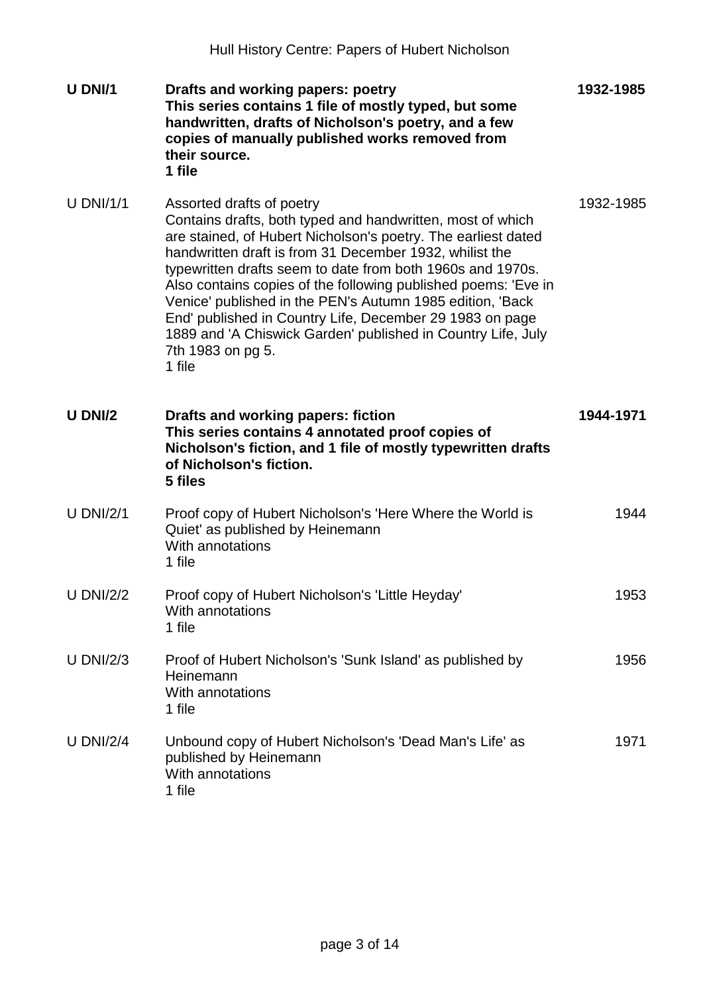| U DNI/1     | Drafts and working papers: poetry<br>This series contains 1 file of mostly typed, but some<br>handwritten, drafts of Nicholson's poetry, and a few<br>copies of manually published works removed from<br>their source.<br>1 file                                                                                                                                                                                                                                                                                                                                            | 1932-1985 |
|-------------|-----------------------------------------------------------------------------------------------------------------------------------------------------------------------------------------------------------------------------------------------------------------------------------------------------------------------------------------------------------------------------------------------------------------------------------------------------------------------------------------------------------------------------------------------------------------------------|-----------|
| $U$ DNI/1/1 | Assorted drafts of poetry<br>Contains drafts, both typed and handwritten, most of which<br>are stained, of Hubert Nicholson's poetry. The earliest dated<br>handwritten draft is from 31 December 1932, whilist the<br>typewritten drafts seem to date from both 1960s and 1970s.<br>Also contains copies of the following published poems: 'Eve in<br>Venice' published in the PEN's Autumn 1985 edition, 'Back<br>End' published in Country Life, December 29 1983 on page<br>1889 and 'A Chiswick Garden' published in Country Life, July<br>7th 1983 on pg 5.<br>1 file | 1932-1985 |
| U DNI/2     | Drafts and working papers: fiction<br>This series contains 4 annotated proof copies of<br>Nicholson's fiction, and 1 file of mostly typewritten drafts<br>of Nicholson's fiction.<br>5 files                                                                                                                                                                                                                                                                                                                                                                                | 1944-1971 |
| $U$ DNI/2/1 | Proof copy of Hubert Nicholson's 'Here Where the World is<br>Quiet' as published by Heinemann<br>With annotations<br>1 file                                                                                                                                                                                                                                                                                                                                                                                                                                                 | 1944      |
| U DNI/2/2   | Proof copy of Hubert Nicholson's 'Little Heyday'<br>With annotations<br>1 file                                                                                                                                                                                                                                                                                                                                                                                                                                                                                              | 1953      |
| U DNI/2/3   | Proof of Hubert Nicholson's 'Sunk Island' as published by<br>Heinemann<br>With annotations<br>1 file                                                                                                                                                                                                                                                                                                                                                                                                                                                                        | 1956      |
| U DNI/2/4   | Unbound copy of Hubert Nicholson's 'Dead Man's Life' as<br>published by Heinemann<br>With annotations<br>1 file                                                                                                                                                                                                                                                                                                                                                                                                                                                             | 1971      |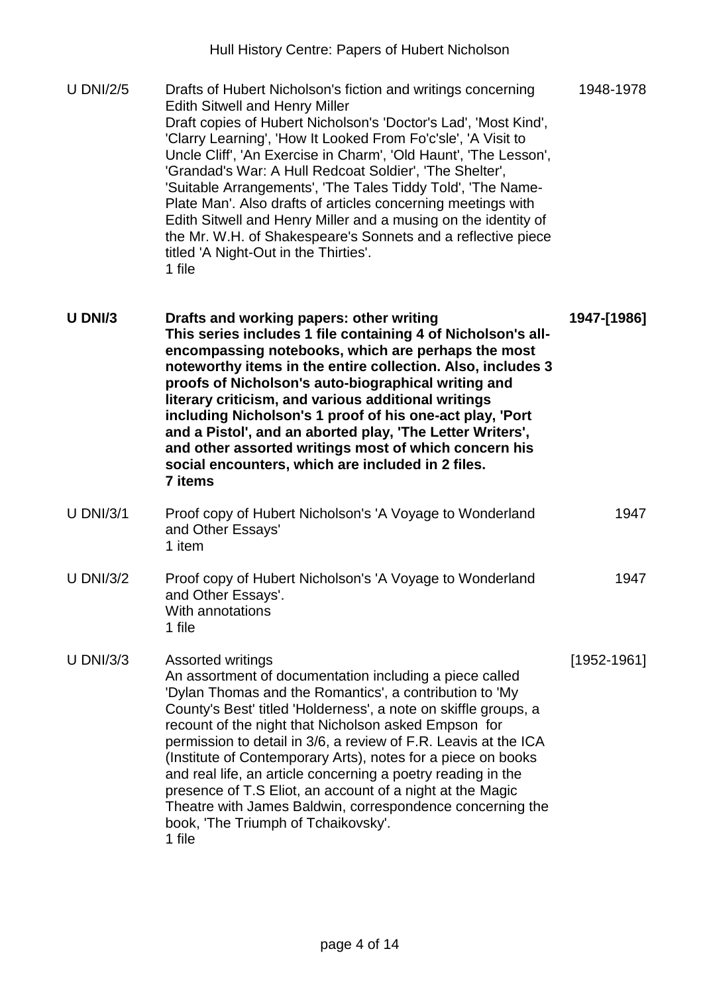| <b>U DNI/2/5</b> | Drafts of Hubert Nicholson's fiction and writings concerning<br><b>Edith Sitwell and Henry Miller</b><br>Draft copies of Hubert Nicholson's 'Doctor's Lad', 'Most Kind',<br>'Clarry Learning', 'How It Looked From Fo'c'sle', 'A Visit to<br>Uncle Cliff', 'An Exercise in Charm', 'Old Haunt', 'The Lesson',<br>'Grandad's War: A Hull Redcoat Soldier', 'The Shelter',<br>'Suitable Arrangements', 'The Tales Tiddy Told', 'The Name-<br>Plate Man'. Also drafts of articles concerning meetings with<br>Edith Sitwell and Henry Miller and a musing on the identity of<br>the Mr. W.H. of Shakespeare's Sonnets and a reflective piece<br>titled 'A Night-Out in the Thirties'.<br>1 file | 1948-1978       |
|------------------|----------------------------------------------------------------------------------------------------------------------------------------------------------------------------------------------------------------------------------------------------------------------------------------------------------------------------------------------------------------------------------------------------------------------------------------------------------------------------------------------------------------------------------------------------------------------------------------------------------------------------------------------------------------------------------------------|-----------------|
| U DNI/3          | Drafts and working papers: other writing<br>This series includes 1 file containing 4 of Nicholson's all-<br>encompassing notebooks, which are perhaps the most<br>noteworthy items in the entire collection. Also, includes 3<br>proofs of Nicholson's auto-biographical writing and<br>literary criticism, and various additional writings<br>including Nicholson's 1 proof of his one-act play, 'Port<br>and a Pistol', and an aborted play, 'The Letter Writers',<br>and other assorted writings most of which concern his<br>social encounters, which are included in 2 files.<br>7 items                                                                                                | 1947-[1986]     |
| <b>U DNI/3/1</b> | Proof copy of Hubert Nicholson's 'A Voyage to Wonderland<br>and Other Essays'<br>1 item                                                                                                                                                                                                                                                                                                                                                                                                                                                                                                                                                                                                      | 1947            |
| <b>U DNI/3/2</b> | Proof copy of Hubert Nicholson's 'A Voyage to Wonderland<br>and Other Essays'.<br>With annotations<br>1 file                                                                                                                                                                                                                                                                                                                                                                                                                                                                                                                                                                                 | 1947            |
| <b>U DNI/3/3</b> | <b>Assorted writings</b><br>An assortment of documentation including a piece called<br>'Dylan Thomas and the Romantics', a contribution to 'My<br>County's Best' titled 'Holderness', a note on skiffle groups, a<br>recount of the night that Nicholson asked Empson for<br>permission to detail in 3/6, a review of F.R. Leavis at the ICA<br>(Institute of Contemporary Arts), notes for a piece on books<br>and real life, an article concerning a poetry reading in the<br>presence of T.S Eliot, an account of a night at the Magic<br>Theatre with James Baldwin, correspondence concerning the<br>book, 'The Triumph of Tchaikovsky'.<br>1 file                                      | $[1952 - 1961]$ |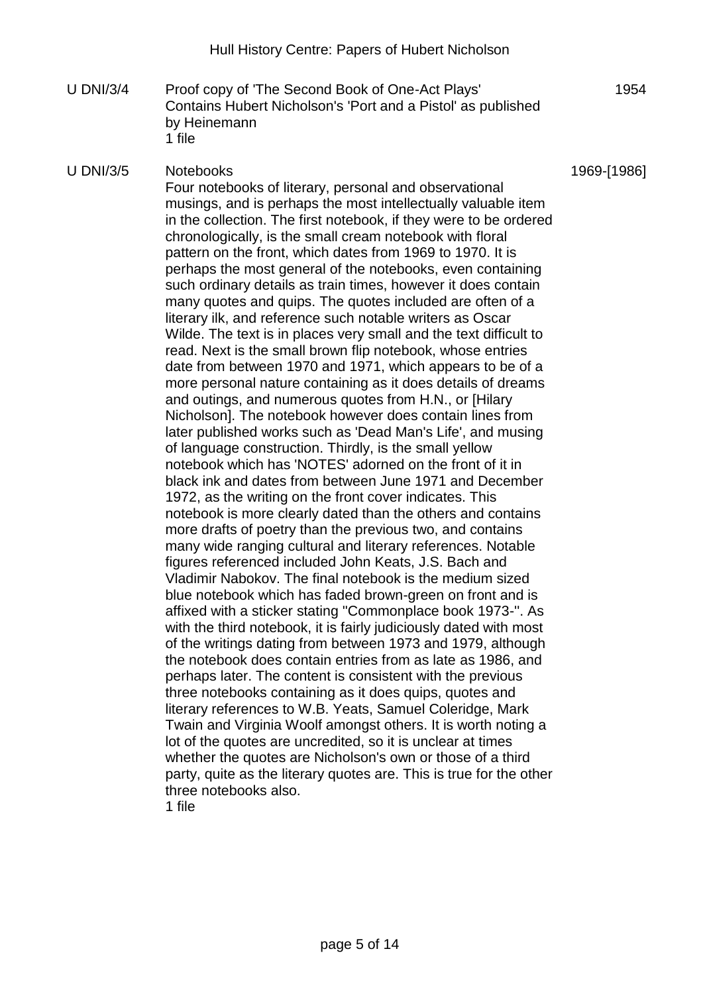U DNI/3/4 Proof copy of 'The Second Book of One-Act Plays' Contains Hubert Nicholson's 'Port and a Pistol' as published by Heinemann 1 file

## U DNI/3/5 Notebooks

1969-[1986]

1954

Four notebooks of literary, personal and observational musings, and is perhaps the most intellectually valuable item in the collection. The first notebook, if they were to be ordered chronologically, is the small cream notebook with floral pattern on the front, which dates from 1969 to 1970. It is perhaps the most general of the notebooks, even containing such ordinary details as train times, however it does contain many quotes and quips. The quotes included are often of a literary ilk, and reference such notable writers as Oscar Wilde. The text is in places very small and the text difficult to read. Next is the small brown flip notebook, whose entries date from between 1970 and 1971, which appears to be of a more personal nature containing as it does details of dreams and outings, and numerous quotes from H.N., or [Hilary Nicholson]. The notebook however does contain lines from later published works such as 'Dead Man's Life', and musing of language construction. Thirdly, is the small yellow notebook which has 'NOTES' adorned on the front of it in black ink and dates from between June 1971 and December 1972, as the writing on the front cover indicates. This notebook is more clearly dated than the others and contains more drafts of poetry than the previous two, and contains many wide ranging cultural and literary references. Notable figures referenced included John Keats, J.S. Bach and Vladimir Nabokov. The final notebook is the medium sized blue notebook which has faded brown-green on front and is affixed with a sticker stating ''Commonplace book 1973-''. As with the third notebook, it is fairly judiciously dated with most of the writings dating from between 1973 and 1979, although the notebook does contain entries from as late as 1986, and perhaps later. The content is consistent with the previous three notebooks containing as it does quips, quotes and literary references to W.B. Yeats, Samuel Coleridge, Mark Twain and Virginia Woolf amongst others. It is worth noting a lot of the quotes are uncredited, so it is unclear at times whether the quotes are Nicholson's own or those of a third party, quite as the literary quotes are. This is true for the other three notebooks also.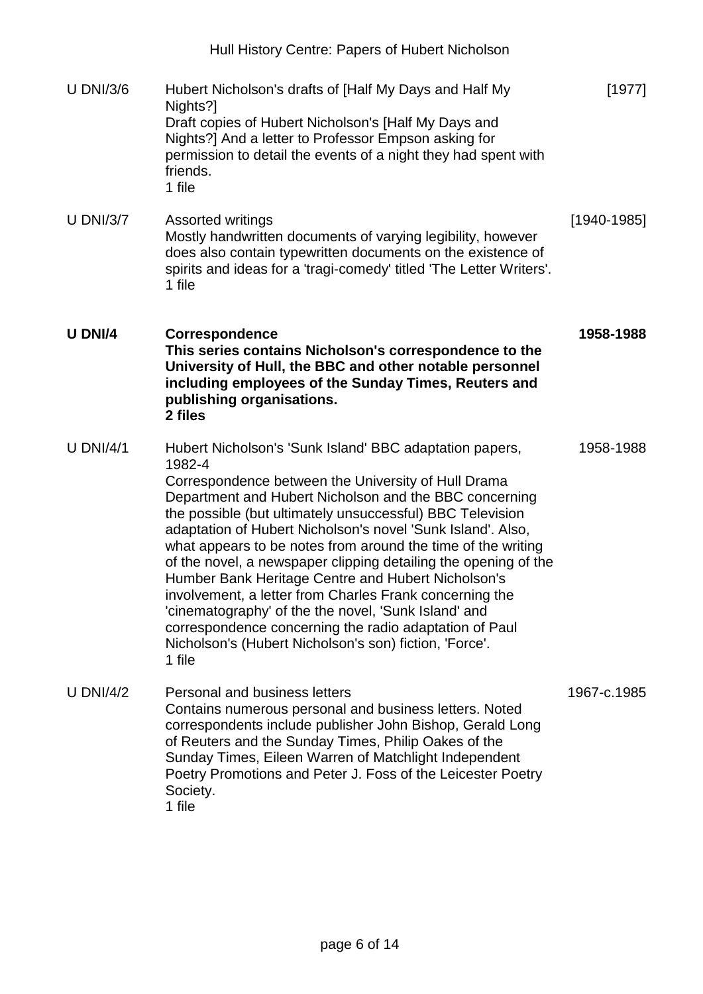U DNI/3/6 Hubert Nicholson's drafts of [Half My Days and Half My Nights?1 Draft copies of Hubert Nicholson's [Half My Days and Nights?] And a letter to Professor Empson asking for permission to detail the events of a night they had spent with friends. 1 file [1977] U DNI/3/7 Assorted writings Mostly handwritten documents of varying legibility, however does also contain typewritten documents on the existence of spirits and ideas for a 'tragi-comedy' titled 'The Letter Writers'. 1 file [1940-1985] **U DNI/4 Correspondence This series contains Nicholson's correspondence to the University of Hull, the BBC and other notable personnel including employees of the Sunday Times, Reuters and publishing organisations. 2 files 1958-1988** U DNI/4/1 Hubert Nicholson's 'Sunk Island' BBC adaptation papers, 1982-4 Correspondence between the University of Hull Drama Department and Hubert Nicholson and the BBC concerning the possible (but ultimately unsuccessful) BBC Television adaptation of Hubert Nicholson's novel 'Sunk Island'. Also, what appears to be notes from around the time of the writing of the novel, a newspaper clipping detailing the opening of the Humber Bank Heritage Centre and Hubert Nicholson's involvement, a letter from Charles Frank concerning the 'cinematography' of the the novel, 'Sunk Island' and correspondence concerning the radio adaptation of Paul Nicholson's (Hubert Nicholson's son) fiction, 'Force'. 1 file 1958-1988 U DNI/4/2 Personal and business letters Contains numerous personal and business letters. Noted correspondents include publisher John Bishop, Gerald Long of Reuters and the Sunday Times, Philip Oakes of the Sunday Times, Eileen Warren of Matchlight Independent Poetry Promotions and Peter J. Foss of the Leicester Poetry Society. 1967-c.1985

1 file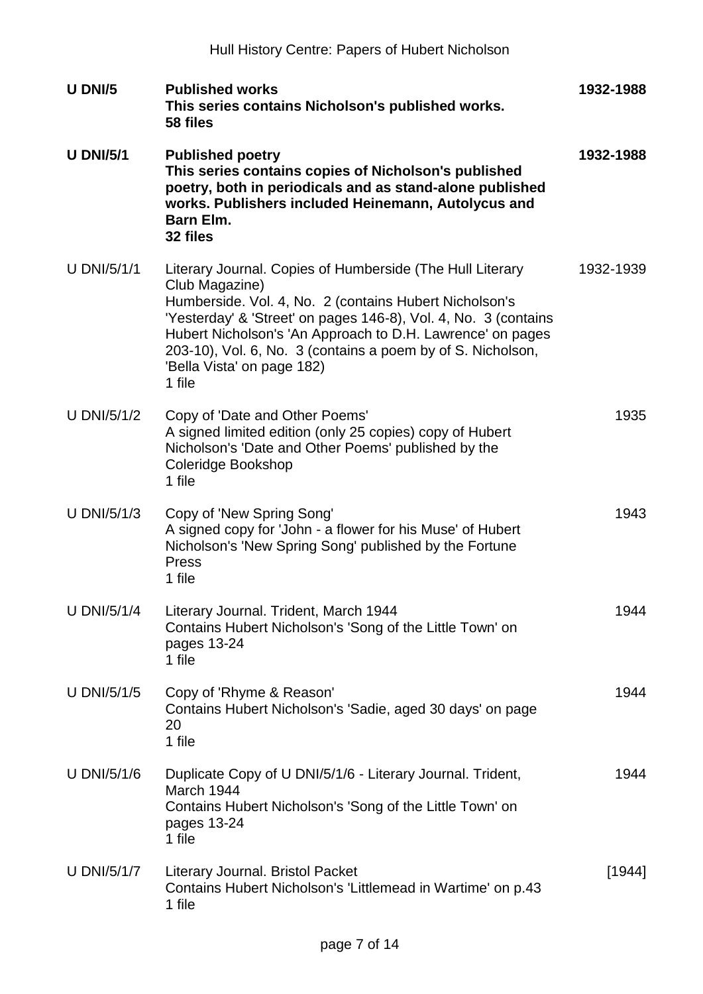| U DNI/5            | <b>Published works</b><br>This series contains Nicholson's published works.<br>58 files                                                                                                                                                                                                                                                                                       | 1932-1988 |
|--------------------|-------------------------------------------------------------------------------------------------------------------------------------------------------------------------------------------------------------------------------------------------------------------------------------------------------------------------------------------------------------------------------|-----------|
| <b>U DNI/5/1</b>   | <b>Published poetry</b><br>This series contains copies of Nicholson's published<br>poetry, both in periodicals and as stand-alone published<br>works. Publishers included Heinemann, Autolycus and<br><b>Barn Elm.</b><br>32 files                                                                                                                                            | 1932-1988 |
| <b>U DNI/5/1/1</b> | Literary Journal. Copies of Humberside (The Hull Literary<br>Club Magazine)<br>Humberside. Vol. 4, No. 2 (contains Hubert Nicholson's<br>'Yesterday' & 'Street' on pages 146-8), Vol. 4, No. 3 (contains<br>Hubert Nicholson's 'An Approach to D.H. Lawrence' on pages<br>203-10), Vol. 6, No. 3 (contains a poem by of S. Nicholson,<br>'Bella Vista' on page 182)<br>1 file | 1932-1939 |
| U DNI/5/1/2        | Copy of 'Date and Other Poems'<br>A signed limited edition (only 25 copies) copy of Hubert<br>Nicholson's 'Date and Other Poems' published by the<br>Coleridge Bookshop<br>1 file                                                                                                                                                                                             | 1935      |
| <b>U DNI/5/1/3</b> | Copy of 'New Spring Song'<br>A signed copy for 'John - a flower for his Muse' of Hubert<br>Nicholson's 'New Spring Song' published by the Fortune<br>Press<br>1 file                                                                                                                                                                                                          | 1943      |
| <b>U DNI/5/1/4</b> | Literary Journal. Trident, March 1944<br>Contains Hubert Nicholson's 'Song of the Little Town' on<br>pages 13-24<br>1 file                                                                                                                                                                                                                                                    | 1944      |
| <b>U DNI/5/1/5</b> | Copy of 'Rhyme & Reason'<br>Contains Hubert Nicholson's 'Sadie, aged 30 days' on page<br>20<br>1 file                                                                                                                                                                                                                                                                         | 1944      |
| U DNI/5/1/6        | Duplicate Copy of U DNI/5/1/6 - Literary Journal. Trident,<br>March 1944<br>Contains Hubert Nicholson's 'Song of the Little Town' on<br>pages 13-24<br>1 file                                                                                                                                                                                                                 | 1944      |
| U DNI/5/1/7        | Literary Journal. Bristol Packet<br>Contains Hubert Nicholson's 'Littlemead in Wartime' on p.43<br>1 file                                                                                                                                                                                                                                                                     | [1944]    |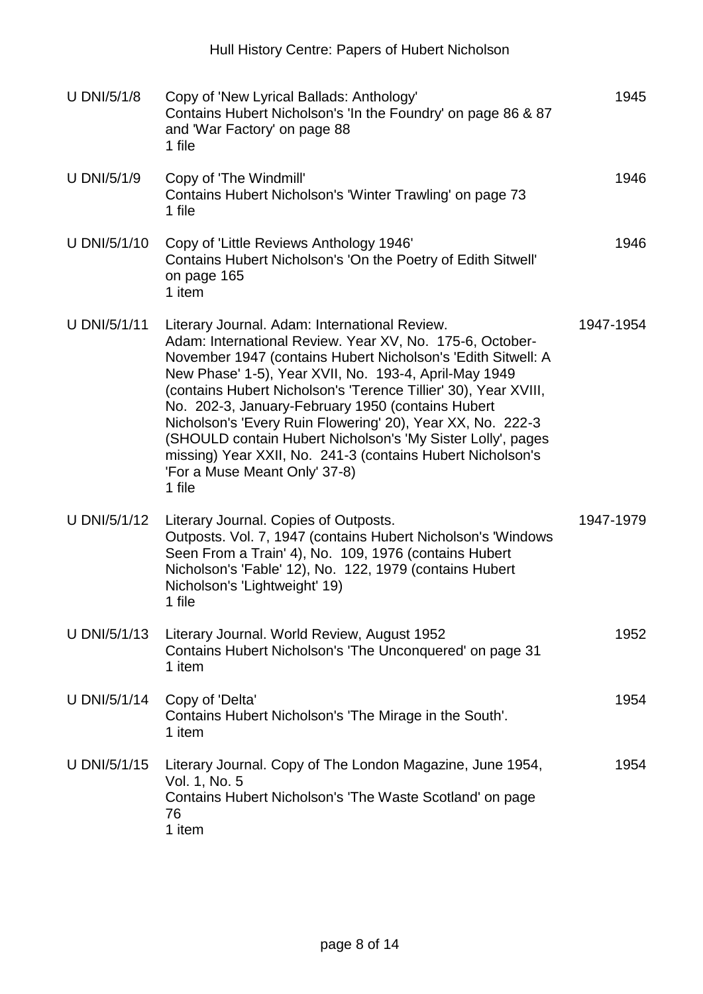| <b>U DNI/5/1/8</b> | Copy of 'New Lyrical Ballads: Anthology'<br>Contains Hubert Nicholson's 'In the Foundry' on page 86 & 87<br>and 'War Factory' on page 88<br>1 file                                                                                                                                                                                                                                                                                                                                                                                                                                               | 1945      |
|--------------------|--------------------------------------------------------------------------------------------------------------------------------------------------------------------------------------------------------------------------------------------------------------------------------------------------------------------------------------------------------------------------------------------------------------------------------------------------------------------------------------------------------------------------------------------------------------------------------------------------|-----------|
| <b>U DNI/5/1/9</b> | Copy of 'The Windmill'<br>Contains Hubert Nicholson's 'Winter Trawling' on page 73<br>1 file                                                                                                                                                                                                                                                                                                                                                                                                                                                                                                     | 1946      |
| U DNI/5/1/10       | Copy of 'Little Reviews Anthology 1946'<br>Contains Hubert Nicholson's 'On the Poetry of Edith Sitwell'<br>on page 165<br>1 item                                                                                                                                                                                                                                                                                                                                                                                                                                                                 | 1946      |
| U DNI/5/1/11       | Literary Journal. Adam: International Review.<br>Adam: International Review. Year XV, No. 175-6, October-<br>November 1947 (contains Hubert Nicholson's 'Edith Sitwell: A<br>New Phase' 1-5), Year XVII, No. 193-4, April-May 1949<br>(contains Hubert Nicholson's 'Terence Tillier' 30), Year XVIII,<br>No. 202-3, January-February 1950 (contains Hubert<br>Nicholson's 'Every Ruin Flowering' 20), Year XX, No. 222-3<br>(SHOULD contain Hubert Nicholson's 'My Sister Lolly', pages<br>missing) Year XXII, No. 241-3 (contains Hubert Nicholson's<br>'For a Muse Meant Only' 37-8)<br>1 file | 1947-1954 |
| U DNI/5/1/12       | Literary Journal. Copies of Outposts.<br>Outposts. Vol. 7, 1947 (contains Hubert Nicholson's 'Windows<br>Seen From a Train' 4), No. 109, 1976 (contains Hubert<br>Nicholson's 'Fable' 12), No. 122, 1979 (contains Hubert<br>Nicholson's 'Lightweight' 19)<br>1 file                                                                                                                                                                                                                                                                                                                             | 1947-1979 |
| U DNI/5/1/13       | Literary Journal. World Review, August 1952<br>Contains Hubert Nicholson's 'The Unconquered' on page 31<br>1 item                                                                                                                                                                                                                                                                                                                                                                                                                                                                                | 1952      |
| U DNI/5/1/14       | Copy of 'Delta'<br>Contains Hubert Nicholson's 'The Mirage in the South'.<br>1 item                                                                                                                                                                                                                                                                                                                                                                                                                                                                                                              | 1954      |
| U DNI/5/1/15       | Literary Journal. Copy of The London Magazine, June 1954,<br>Vol. 1, No. 5<br>Contains Hubert Nicholson's 'The Waste Scotland' on page<br>76<br>1 item                                                                                                                                                                                                                                                                                                                                                                                                                                           | 1954      |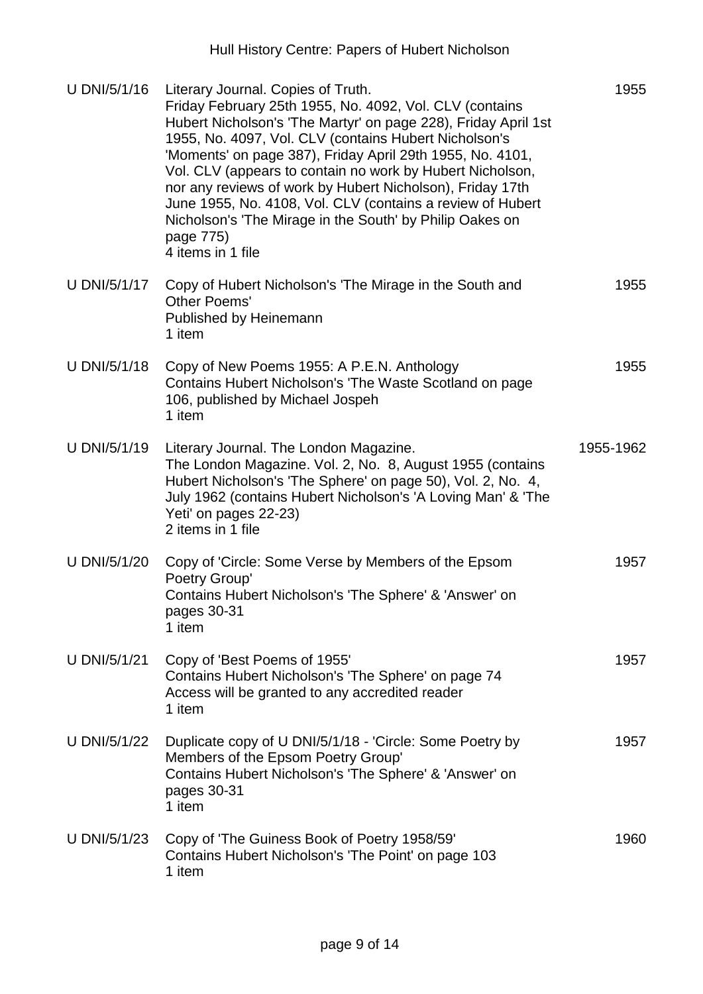| U DNI/5/1/16 | Literary Journal. Copies of Truth.<br>Friday February 25th 1955, No. 4092, Vol. CLV (contains<br>Hubert Nicholson's 'The Martyr' on page 228), Friday April 1st<br>1955, No. 4097, Vol. CLV (contains Hubert Nicholson's<br>'Moments' on page 387), Friday April 29th 1955, No. 4101,<br>Vol. CLV (appears to contain no work by Hubert Nicholson,<br>nor any reviews of work by Hubert Nicholson), Friday 17th<br>June 1955, No. 4108, Vol. CLV (contains a review of Hubert<br>Nicholson's 'The Mirage in the South' by Philip Oakes on<br>page 775)<br>4 items in 1 file | 1955      |
|--------------|-----------------------------------------------------------------------------------------------------------------------------------------------------------------------------------------------------------------------------------------------------------------------------------------------------------------------------------------------------------------------------------------------------------------------------------------------------------------------------------------------------------------------------------------------------------------------------|-----------|
| U DNI/5/1/17 | Copy of Hubert Nicholson's 'The Mirage in the South and<br>Other Poems'<br>Published by Heinemann<br>1 item                                                                                                                                                                                                                                                                                                                                                                                                                                                                 | 1955      |
| U DNI/5/1/18 | Copy of New Poems 1955: A P.E.N. Anthology<br>Contains Hubert Nicholson's 'The Waste Scotland on page<br>106, published by Michael Jospeh<br>1 item                                                                                                                                                                                                                                                                                                                                                                                                                         | 1955      |
| U DNI/5/1/19 | Literary Journal. The London Magazine.<br>The London Magazine. Vol. 2, No. 8, August 1955 (contains<br>Hubert Nicholson's 'The Sphere' on page 50), Vol. 2, No. 4,<br>July 1962 (contains Hubert Nicholson's 'A Loving Man' & 'The<br>Yeti' on pages 22-23)<br>2 items in 1 file                                                                                                                                                                                                                                                                                            | 1955-1962 |
| U DNI/5/1/20 | Copy of 'Circle: Some Verse by Members of the Epsom<br>Poetry Group'<br>Contains Hubert Nicholson's 'The Sphere' & 'Answer' on<br>pages 30-31<br>1 item                                                                                                                                                                                                                                                                                                                                                                                                                     | 1957      |
| U DNI/5/1/21 | Copy of 'Best Poems of 1955'<br>Contains Hubert Nicholson's 'The Sphere' on page 74<br>Access will be granted to any accredited reader<br>1 item                                                                                                                                                                                                                                                                                                                                                                                                                            | 1957      |
| U DNI/5/1/22 | Duplicate copy of U DNI/5/1/18 - 'Circle: Some Poetry by<br>Members of the Epsom Poetry Group'<br>Contains Hubert Nicholson's 'The Sphere' & 'Answer' on<br>pages 30-31<br>1 item                                                                                                                                                                                                                                                                                                                                                                                           | 1957      |
| U DNI/5/1/23 | Copy of 'The Guiness Book of Poetry 1958/59'<br>Contains Hubert Nicholson's 'The Point' on page 103<br>1 item                                                                                                                                                                                                                                                                                                                                                                                                                                                               | 1960      |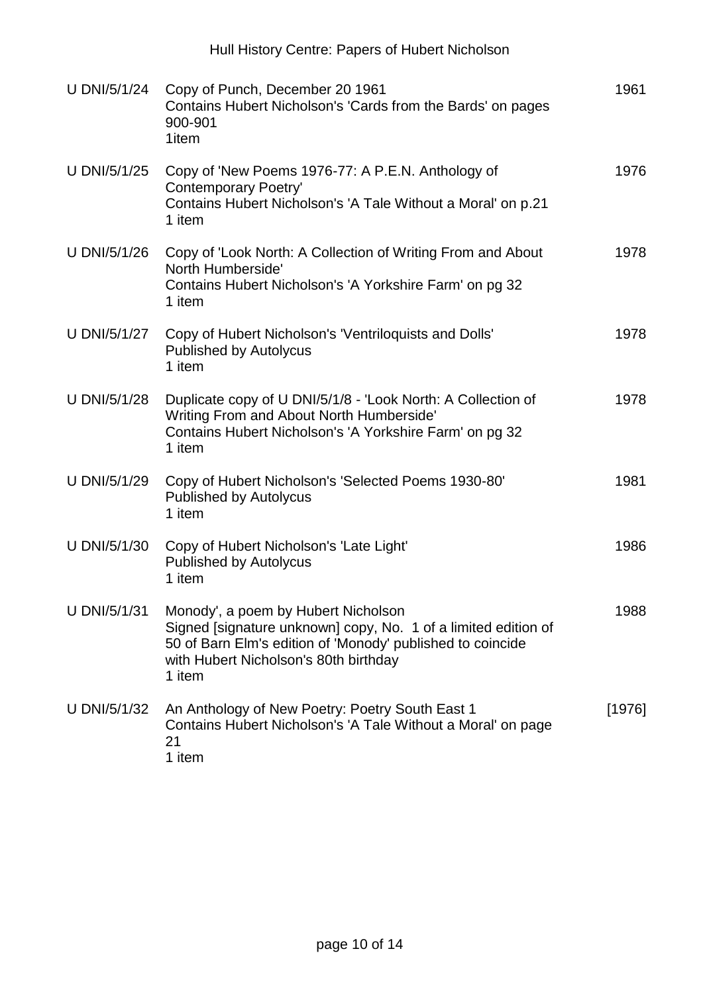Hull History Centre: Papers of Hubert Nicholson

| U DNI/5/1/24 | Copy of Punch, December 20 1961<br>Contains Hubert Nicholson's 'Cards from the Bards' on pages<br>900-901<br>1item                                                                                                     | 1961     |
|--------------|------------------------------------------------------------------------------------------------------------------------------------------------------------------------------------------------------------------------|----------|
| U DNI/5/1/25 | Copy of 'New Poems 1976-77: A P.E.N. Anthology of<br><b>Contemporary Poetry'</b><br>Contains Hubert Nicholson's 'A Tale Without a Moral' on p.21<br>1 item                                                             | 1976     |
| U DNI/5/1/26 | Copy of 'Look North: A Collection of Writing From and About<br>North Humberside'<br>Contains Hubert Nicholson's 'A Yorkshire Farm' on pg 32<br>1 item                                                                  | 1978     |
| U DNI/5/1/27 | Copy of Hubert Nicholson's 'Ventriloquists and Dolls'<br><b>Published by Autolycus</b><br>1 item                                                                                                                       | 1978     |
| U DNI/5/1/28 | Duplicate copy of U DNI/5/1/8 - 'Look North: A Collection of<br>Writing From and About North Humberside'<br>Contains Hubert Nicholson's 'A Yorkshire Farm' on pg 32<br>1 item                                          | 1978     |
| U DNI/5/1/29 | Copy of Hubert Nicholson's 'Selected Poems 1930-80'<br><b>Published by Autolycus</b><br>1 item                                                                                                                         | 1981     |
| U DNI/5/1/30 | Copy of Hubert Nicholson's 'Late Light'<br><b>Published by Autolycus</b><br>1 item                                                                                                                                     | 1986     |
| U DNI/5/1/31 | Monody', a poem by Hubert Nicholson<br>Signed [signature unknown] copy, No. 1 of a limited edition of<br>50 of Barn Elm's edition of 'Monody' published to coincide<br>with Hubert Nicholson's 80th birthday<br>1 item | 1988     |
| U DNI/5/1/32 | An Anthology of New Poetry: Poetry South East 1<br>Contains Hubert Nicholson's 'A Tale Without a Moral' on page<br>21<br>1 item                                                                                        | $[1976]$ |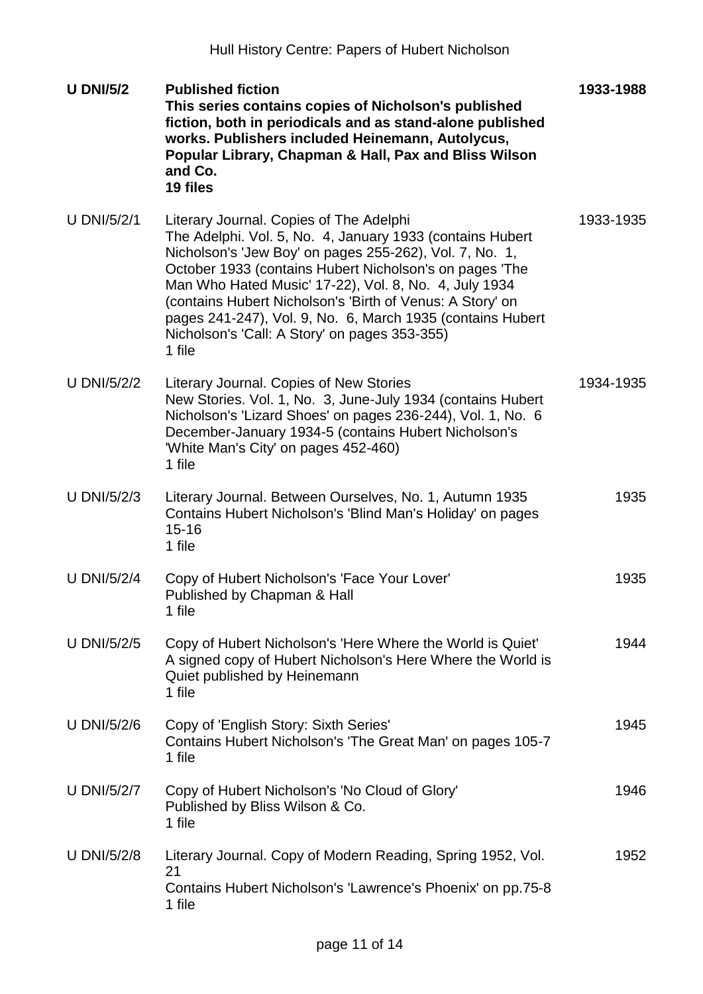| <b>U DNI/5/2</b>   | <b>Published fiction</b><br>This series contains copies of Nicholson's published<br>fiction, both in periodicals and as stand-alone published<br>works. Publishers included Heinemann, Autolycus,<br>Popular Library, Chapman & Hall, Pax and Bliss Wilson<br>and Co.<br>19 files                                                                                                                                                                                         | 1933-1988 |
|--------------------|---------------------------------------------------------------------------------------------------------------------------------------------------------------------------------------------------------------------------------------------------------------------------------------------------------------------------------------------------------------------------------------------------------------------------------------------------------------------------|-----------|
| <b>U DNI/5/2/1</b> | Literary Journal. Copies of The Adelphi<br>The Adelphi. Vol. 5, No. 4, January 1933 (contains Hubert<br>Nicholson's 'Jew Boy' on pages 255-262), Vol. 7, No. 1,<br>October 1933 (contains Hubert Nicholson's on pages 'The<br>Man Who Hated Music' 17-22), Vol. 8, No. 4, July 1934<br>(contains Hubert Nicholson's 'Birth of Venus: A Story' on<br>pages 241-247), Vol. 9, No. 6, March 1935 (contains Hubert<br>Nicholson's 'Call: A Story' on pages 353-355)<br>1 file | 1933-1935 |
| <b>U DNI/5/2/2</b> | Literary Journal. Copies of New Stories<br>New Stories. Vol. 1, No. 3, June-July 1934 (contains Hubert<br>Nicholson's 'Lizard Shoes' on pages 236-244), Vol. 1, No. 6<br>December-January 1934-5 (contains Hubert Nicholson's<br>'White Man's City' on pages 452-460)<br>1 file                                                                                                                                                                                           | 1934-1935 |
| <b>U DNI/5/2/3</b> | Literary Journal. Between Ourselves, No. 1, Autumn 1935<br>Contains Hubert Nicholson's 'Blind Man's Holiday' on pages<br>$15 - 16$<br>1 file                                                                                                                                                                                                                                                                                                                              | 1935      |
| <b>U DNI/5/2/4</b> | Copy of Hubert Nicholson's 'Face Your Lover'<br>Published by Chapman & Hall<br>1 file                                                                                                                                                                                                                                                                                                                                                                                     | 1935      |
| U DNI/5/2/5        | Copy of Hubert Nicholson's 'Here Where the World is Quiet'<br>A signed copy of Hubert Nicholson's Here Where the World is<br>Quiet published by Heinemann<br>1 file                                                                                                                                                                                                                                                                                                       | 1944      |
| <b>U DNI/5/2/6</b> | Copy of 'English Story: Sixth Series'<br>Contains Hubert Nicholson's 'The Great Man' on pages 105-7<br>1 file                                                                                                                                                                                                                                                                                                                                                             | 1945      |
| <b>U DNI/5/2/7</b> | Copy of Hubert Nicholson's 'No Cloud of Glory'<br>Published by Bliss Wilson & Co.<br>1 file                                                                                                                                                                                                                                                                                                                                                                               | 1946      |
| <b>U DNI/5/2/8</b> | Literary Journal. Copy of Modern Reading, Spring 1952, Vol.<br>21<br>Contains Hubert Nicholson's 'Lawrence's Phoenix' on pp.75-8<br>1 file                                                                                                                                                                                                                                                                                                                                | 1952      |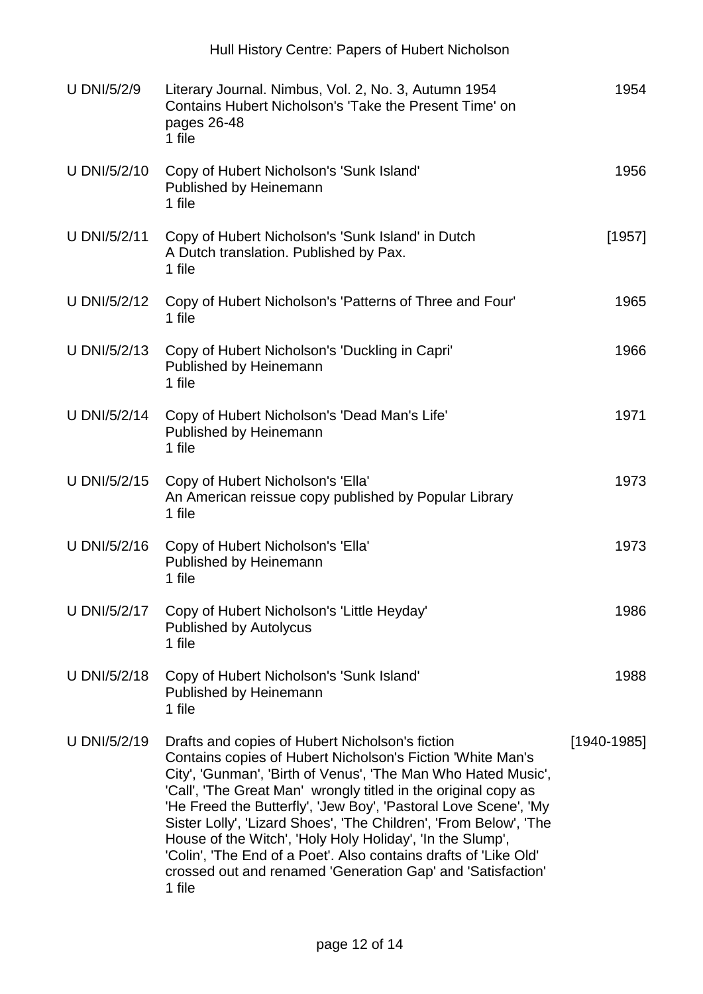| <b>U DNI/5/2/9</b> | Literary Journal. Nimbus, Vol. 2, No. 3, Autumn 1954<br>Contains Hubert Nicholson's 'Take the Present Time' on<br>pages 26-48<br>1 file                                                                                                                                                                                                                                                                                                                                                                                                                                                            | 1954            |
|--------------------|----------------------------------------------------------------------------------------------------------------------------------------------------------------------------------------------------------------------------------------------------------------------------------------------------------------------------------------------------------------------------------------------------------------------------------------------------------------------------------------------------------------------------------------------------------------------------------------------------|-----------------|
| U DNI/5/2/10       | Copy of Hubert Nicholson's 'Sunk Island'<br>Published by Heinemann<br>1 file                                                                                                                                                                                                                                                                                                                                                                                                                                                                                                                       | 1956            |
| U DNI/5/2/11       | Copy of Hubert Nicholson's 'Sunk Island' in Dutch<br>A Dutch translation. Published by Pax.<br>1 file                                                                                                                                                                                                                                                                                                                                                                                                                                                                                              | [1957]          |
| U DNI/5/2/12       | Copy of Hubert Nicholson's 'Patterns of Three and Four'<br>1 file                                                                                                                                                                                                                                                                                                                                                                                                                                                                                                                                  | 1965            |
| U DNI/5/2/13       | Copy of Hubert Nicholson's 'Duckling in Capri'<br>Published by Heinemann<br>1 file                                                                                                                                                                                                                                                                                                                                                                                                                                                                                                                 | 1966            |
| U DNI/5/2/14       | Copy of Hubert Nicholson's 'Dead Man's Life'<br>Published by Heinemann<br>1 file                                                                                                                                                                                                                                                                                                                                                                                                                                                                                                                   | 1971            |
| U DNI/5/2/15       | Copy of Hubert Nicholson's 'Ella'<br>An American reissue copy published by Popular Library<br>1 file                                                                                                                                                                                                                                                                                                                                                                                                                                                                                               | 1973            |
| U DNI/5/2/16       | Copy of Hubert Nicholson's 'Ella'<br>Published by Heinemann<br>1 file                                                                                                                                                                                                                                                                                                                                                                                                                                                                                                                              | 1973            |
| U DNI/5/2/17       | Copy of Hubert Nicholson's 'Little Heyday'<br><b>Published by Autolycus</b><br>1 file                                                                                                                                                                                                                                                                                                                                                                                                                                                                                                              | 1986            |
| U DNI/5/2/18       | Copy of Hubert Nicholson's 'Sunk Island'<br>Published by Heinemann<br>1 file                                                                                                                                                                                                                                                                                                                                                                                                                                                                                                                       | 1988            |
| U DNI/5/2/19       | Drafts and copies of Hubert Nicholson's fiction<br>Contains copies of Hubert Nicholson's Fiction 'White Man's<br>City', 'Gunman', 'Birth of Venus', 'The Man Who Hated Music',<br>'Call', 'The Great Man' wrongly titled in the original copy as<br>'He Freed the Butterfly', 'Jew Boy', 'Pastoral Love Scene', 'My<br>Sister Lolly', 'Lizard Shoes', 'The Children', 'From Below', 'The<br>House of the Witch', 'Holy Holy Holiday', 'In the Slump',<br>'Colin', 'The End of a Poet'. Also contains drafts of 'Like Old'<br>crossed out and renamed 'Generation Gap' and 'Satisfaction'<br>1 file | $[1940 - 1985]$ |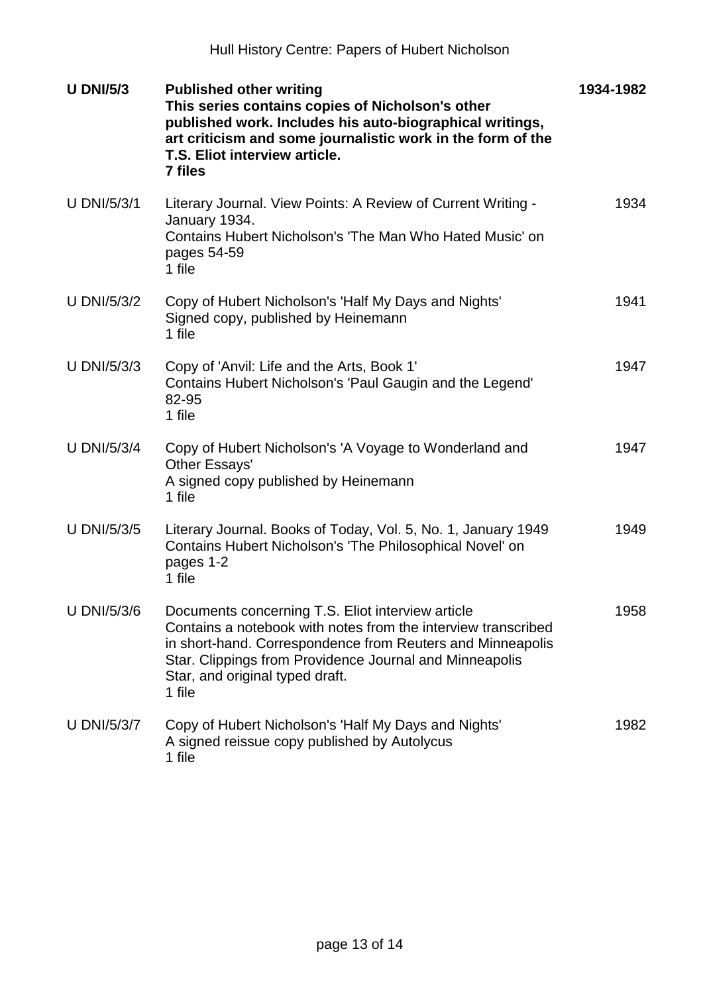| <b>U DNI/5/3</b>   | <b>Published other writing</b><br>This series contains copies of Nicholson's other<br>published work. Includes his auto-biographical writings,<br>art criticism and some journalistic work in the form of the<br>T.S. Eliot interview article.<br><b>7 files</b>                         | 1934-1982 |
|--------------------|------------------------------------------------------------------------------------------------------------------------------------------------------------------------------------------------------------------------------------------------------------------------------------------|-----------|
| <b>U DNI/5/3/1</b> | Literary Journal. View Points: A Review of Current Writing -<br>January 1934.<br>Contains Hubert Nicholson's 'The Man Who Hated Music' on<br>pages 54-59<br>1 file                                                                                                                       | 1934      |
| <b>U DNI/5/3/2</b> | Copy of Hubert Nicholson's 'Half My Days and Nights'<br>Signed copy, published by Heinemann<br>1 file                                                                                                                                                                                    | 1941      |
| <b>U DNI/5/3/3</b> | Copy of 'Anvil: Life and the Arts, Book 1'<br>Contains Hubert Nicholson's 'Paul Gaugin and the Legend'<br>82-95<br>1 file                                                                                                                                                                | 1947      |
| <b>U DNI/5/3/4</b> | Copy of Hubert Nicholson's 'A Voyage to Wonderland and<br>Other Essays'<br>A signed copy published by Heinemann<br>1 file                                                                                                                                                                | 1947      |
| <b>U DNI/5/3/5</b> | Literary Journal. Books of Today, Vol. 5, No. 1, January 1949<br>Contains Hubert Nicholson's 'The Philosophical Novel' on<br>pages 1-2<br>1 file                                                                                                                                         | 1949      |
| U DNI/5/3/6        | Documents concerning T.S. Eliot interview article<br>Contains a notebook with notes from the interview transcribed<br>in short-hand. Correspondence from Reuters and Minneapolis<br>Star. Clippings from Providence Journal and Minneapolis<br>Star, and original typed draft.<br>1 file | 1958      |
| <b>U DNI/5/3/7</b> | Copy of Hubert Nicholson's 'Half My Days and Nights'<br>A signed reissue copy published by Autolycus<br>1 file                                                                                                                                                                           | 1982      |